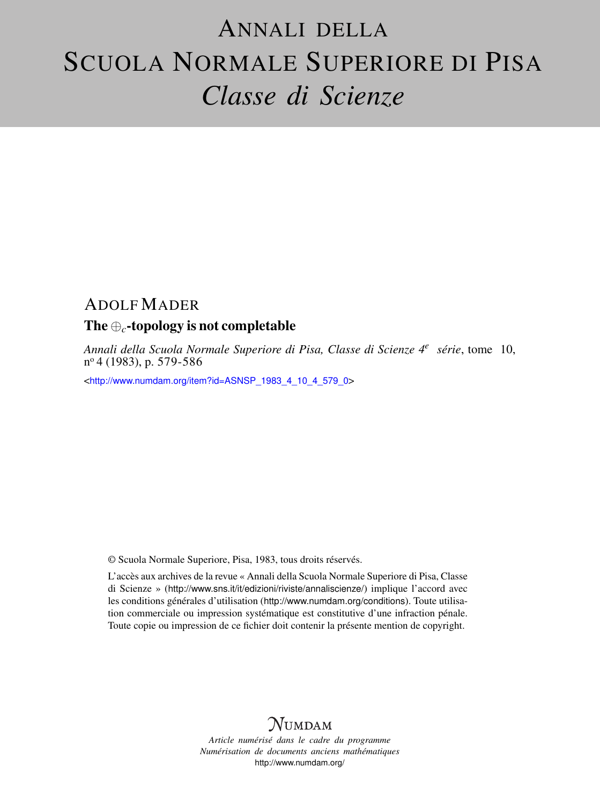# ANNALI DELLA SCUOLA NORMALE SUPERIORE DI PISA *Classe di Scienze*

# ADOLF MADER

# The ⊕*c*-topology is not completable

*Annali della Scuola Normale Superiore di Pisa, Classe di Scienze 4<sup>e</sup> série*, tome 10, n <sup>o</sup> 4 (1983), p. 579-586

<[http://www.numdam.org/item?id=ASNSP\\_1983\\_4\\_10\\_4\\_579\\_0](http://www.numdam.org/item?id=ASNSP_1983_4_10_4_579_0)>

© Scuola Normale Superiore, Pisa, 1983, tous droits réservés.

L'accès aux archives de la revue « Annali della Scuola Normale Superiore di Pisa, Classe di Scienze » (<http://www.sns.it/it/edizioni/riviste/annaliscienze/>) implique l'accord avec les conditions générales d'utilisation (<http://www.numdam.org/conditions>). Toute utilisation commerciale ou impression systématique est constitutive d'une infraction pénale. Toute copie ou impression de ce fichier doit contenir la présente mention de copyright.

# $N$ UMDAM

*Article numérisé dans le cadre du programme Numérisation de documents anciens mathématiques* <http://www.numdam.org/>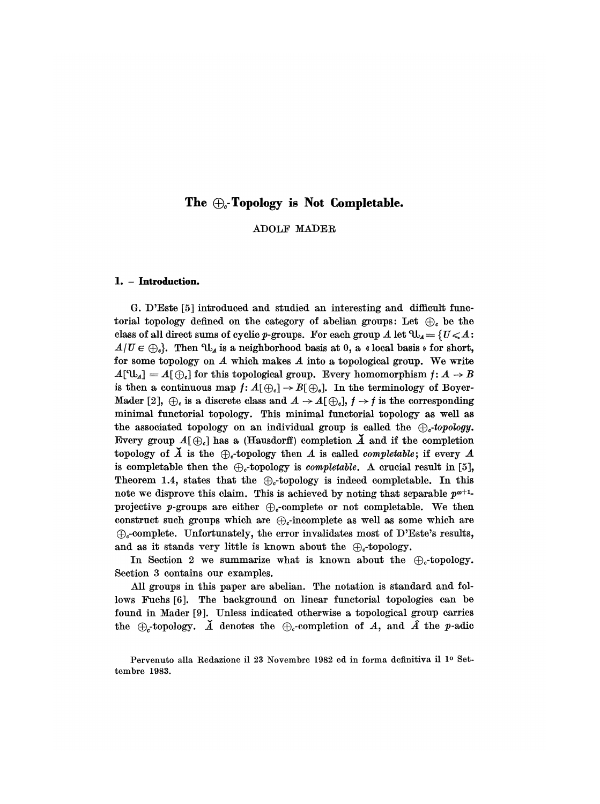# The  $\bigoplus_{c}$ -Topology is Not Completable.

# ADOLF MADER

## 1. - Introduction.

G. D'Este [5] introduced and studied an interesting and difficult functorial topology defined on the category of abelian groups: Let  $\oplus_c$  be the class of all direct sums of cyclic p-groups. For each group A let  $\mathfrak{V}_A = \{U \leq A:$  $A/U \in \bigoplus_i$ . Then  $\mathcal{U}_i$  is a neighborhood basis at 0, a « local basis » for short, for some topology on  $A$  which makes  $A$  into a topological group. We write  $A[\mathbb{U}_A] = A[\oplus_e]$  for this topological group. Every homomorphism  $f: A \to B$ is then a continuous map  $f: A(\bigoplus_c] \to B(\bigoplus_c]$ . In the terminology of Boyer-Mader [2],  $\oplus_c$  is a discrete class and  $A \to A(\oplus_c), f \to f$  is the corresponding minimal functorial topology. This minimal functorial topology as well as the associated topology on an individual group is called the  $\bigoplus_{\sigma}$ -topology. Every group  $A(\bigoplus_i)$  has a (Hausdorff) completion  $\tilde{A}$  and if the completion topology of  $\breve{A}$  is the  $\bigoplus_{c}$ -topology then A is called *completable*; if every A is completable then the  $\bigoplus_{c}$ -topology is *completable*. A crucial result in [5], Theorem 1.4, states that the  $\bigoplus_{c}$ -topology is indeed completable. In this note we disprove this claim. This is achieved by noting that separable  $p^{\omega+1}$ projective p-groups are either  $\bigoplus_{c}$ -complete or not completable. We then construct such groups which are  $\bigoplus_{\alpha}$ -incomplete as well as some which are  $\bigoplus_{c}$ -complete. Unfortunately, the error invalidates most of D'Este's results, and as it stands very little is known about the  $\bigoplus_{c}$ -topology.

In Section 2 we summarize what is known about the  $\bigoplus_{\alpha}$ -topology. Section 3 contains our examples.

All groups in this paper are abelian. The notation is standard and follows Fuchs [6]. The background on linear functorial topologies can be found in Mader [9]. Unless indicated otherwise a topological group carries the  $\oplus$ -topology.  $\check{A}$  denotes the  $\oplus_c$ -completion of A, and  $\hat{A}$  the p-adic

Pervenuto alla Redazione il 23 Novembre 1982 ed in forma definitiva il <sup>10</sup> Settembre 1983.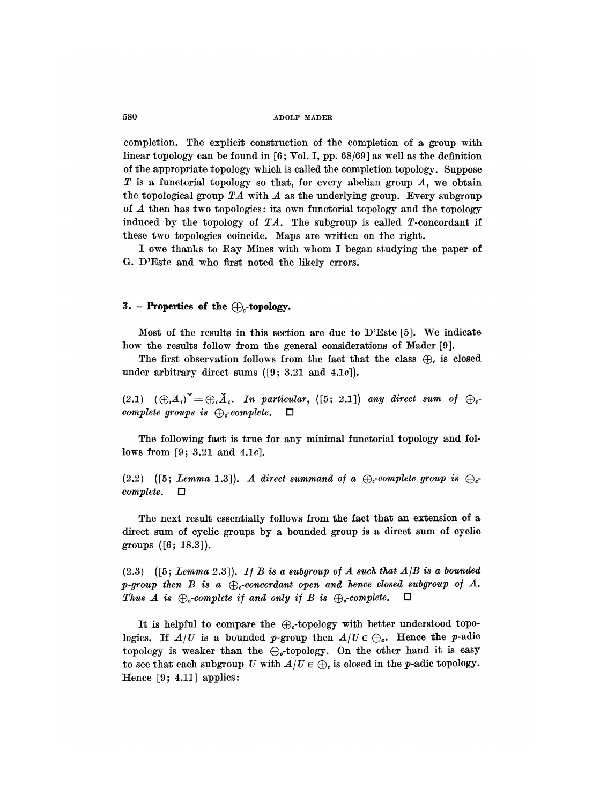completion. The explicit construction of the completion of a group with linear topology can be found in [6; Vol. I, pp. 68/69] as well as the definition of the appropriate topology which is called the completion topology. Suppose  $T$  is a functorial topology so that, for every abelian group  $A$ , we obtain the topological group  $TA$  with A as the underlying group. Every subgroup of A then has two topologies: its own functorial topology and the topology induced by the topology of  $TA$ . The subgroup is called T-concordant if these two topologies coincide. Maps are written on the right.

I owe thanks to Ray Mines with whom I began studying the paper of G. D'Este and who first noted the likely errors.

## 3. - Properties of the  $\bigoplus$ -topology.

Most of the results in this section are due to D'Este [5]. We indicate how the results follow from the general considerations of Mader [9].

The first observation follows from the fact that the class  $\bigoplus$  is closed under arbitrary direct sums  $(9; 3.21$  and  $4.1c$ ]).

(2.1)  $(\bigoplus_i A_i)^{\vee} = \bigoplus_i \check{A}_i$ . In particular, ([5; 2.1]) any direct sum of  $\bigoplus_{\mathfrak{c}}$ complete groups is  $\bigoplus_{c}$ -complete.  $\square$ 

The following fact is true for any minimal functorial topology and follows from [9; 3.21 and 4.1c].

(2.2) ([5; Lemma 1.3]). A direct summand of a  $\bigoplus_{\sigma}$ -complete group is  $\bigoplus_{\sigma}$ complete.  $\Box$ 

The next result essentially follows from the fact that an extension of a direct sum of cyclic groups by a bounded group is a direct sum of cyclic groups ([6; 18.3]).

 $(2.3)$  ([5; Lemma 2.3]). If B is a subgroup of A such that  $A/B$  is a bounded p-group then  $B$  is a  $\bigoplus$ -concordant open and hence closed subgroup of  $A$ . Thus A is  $\bigoplus_{c}$ -complete if and only if B is  $\bigoplus_{c}$ -complete.  $\Box$ 

It is helpful to compare the  $\bigoplus$ -topology with better understood topologies. If  $A/U$  is a bounded p-group then  $A/U \in \bigoplus_c$ . Hence the p-adic topology is weaker than the  $\bigoplus_{c}$ -topology. On the other hand it is easy to see that each subgroup U with  $A/U \in \bigoplus$  is closed in the p-adic topology. Hence  $[9; 4.11]$  applies: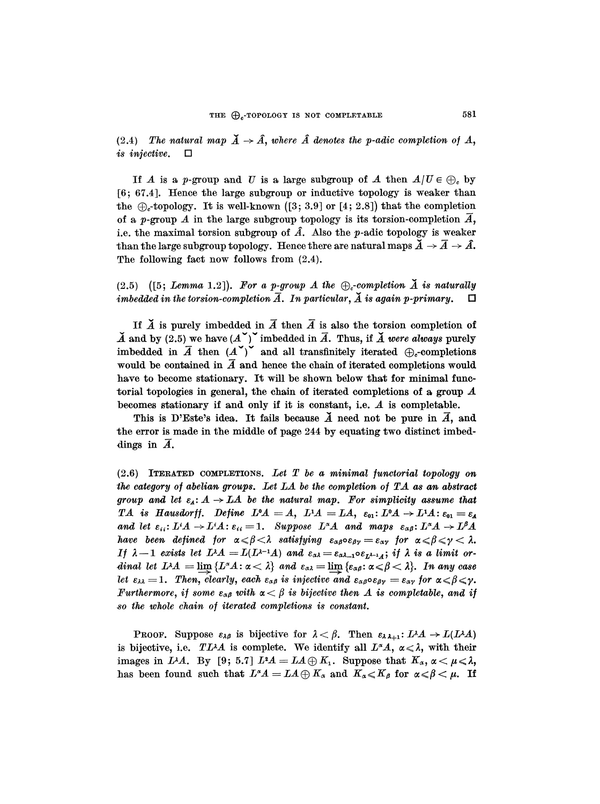(2.4) The natural map  $\check{A} \to \hat{A}$ , where  $\hat{A}$  denotes the p-adic completion of A, is injective.  $\Box$ 

If A is a p-group and U is a large subgroup of A then  $A/U \in \bigoplus$ , by [6 ; 67.4]. Hence the large subgroup or inductive topology is weaker than the  $\bigoplus_{c}$ -topology. It is well-known ([3; 3.9] or [4; 2.8]) that the completion of a p-group A in the large subgroup topology is its torsion-completion  $\overline{A}$ , i.e. the maximal torsion subgroup of  $\hat{A}$ . Also the p-adic topology is weaker than the large subgroup topology. Hence there are natural maps  $\check{A} \rightarrow \bar{A} \rightarrow \hat{A}$ . The following fact now follows from  $(2.4)$ .

# (2.5) ([5; Lemma 1.2]). For a p-group A the  $\bigoplus_c$ -completion  $\check{A}$  is naturally imhedded in the torsion-completion  $\overline{A}$ . In particular,  $\check{A}$  is again p-primary.  $\Box$ imbedded in the torsion-completion  $\overline{A}$ . In particular,  $\overline{A}$  is again p-primary.

If  $\breve{A}$  is purely imbedded in  $\overline{A}$  then  $\overline{A}$  is also the torsion completion of  $\check{A}$  and by (2.5) we have  $(A^{\times})^{\times}$  imbedded in  $\overline{A}$ . Thus, if  $\check{A}$  were always purely imbedded in  $\overline{A}$  then  $(A^{\vee})^{\vee}$  and all transfinitely iterated  $\bigoplus_{c}$ -completions would be contained in  $\overline{A}$  and hence the chain of iterated completions would have to become stationary. It will be shown below that for minimal funetorial topologies in general, the chain of iterated completions of a group  $A$ becomes stationary if and only if it is constant, i.e. A is completable.

This is D'Este's idea. It fails because  $\breve{A}$  need not be pure in  $\overline{A}$ , and the error is made in the middle of page 244 by equating two distinct imbeddings in  $\overline{A}$ .

 $(2.6)$  ITERATED COMPLETIONS. Let T be a minimal functorial topology on the category of abelian groups. Let LA be the completion of TA as an abstract group and let  $\varepsilon_A: A \to LA$  be the natural map. For simplicity assume that TA is Hausdorff. Define  $L^0A = A$ ,  $L^1A = LA$ ,  $\varepsilon_{01}: L^0A \rightarrow L^1A$ :  $\varepsilon_{01} = \varepsilon_A$ and let  $\varepsilon_{ii} : L^iA \to L^iA$ :  $\varepsilon_{ii} = 1$ . Suppose  $L^{\alpha}A$  and maps  $\varepsilon_{\alpha\beta} : L^{\alpha}A \to L^{\beta}A$ have been defined for  $\alpha \le \beta < \lambda$  satisfying  $\varepsilon_{\alpha\beta} \circ \varepsilon_{\beta\gamma} = \varepsilon_{\alpha\gamma}$  for  $\alpha \le \beta \le \gamma < \lambda$ . If  $\lambda - 1$  exists let  $L^{\lambda}A = L(L^{\lambda - 1}A)$  and  $\varepsilon_{\alpha\lambda} = \varepsilon_{\alpha\lambda - 1} \circ \varepsilon_{L^{\lambda - 1}A}$ ; if  $\lambda$  is a limit ordinal let  $L^{\lambda}A = \lim \{L^{\alpha}A : \alpha < \lambda\}$  and  $\varepsilon_{\alpha\lambda} = \lim \{\varepsilon_{\alpha\beta} : \alpha \leq \beta < \lambda\}$ . In any case let  $\varepsilon_{\lambda\lambda} = 1$ . Then, clearly, each  $\varepsilon_{\alpha\beta}$  is injective and  $\varepsilon_{\alpha\beta} \circ \varepsilon_{\beta\gamma} = \varepsilon_{\alpha\gamma}$  for  $\alpha \leq \beta \leq \gamma$ . Furthermore, if some  $\varepsilon_{\alpha\beta}$  with  $\alpha < \beta$  is bijective then A is completable, and if so the whole chain of iterated completions is constant.

**PROOF.** Suppose  $\varepsilon_{\lambda\beta}$  is bijective for  $\lambda < \beta$ . Then  $\varepsilon_{\lambda\lambda+1}: L^{\lambda}A \rightarrow L(L^{\lambda}A)$ is bijective, i.e. TLAA is complete. We identify all  $L^{\alpha}A$ ,  $\alpha \leq \lambda$ , with their images in L<sup> $\lambda$ </sup>A. By [9; 5.7]  $L^2A = LA \oplus K_1$ . Suppose that  $K_\alpha$ ,  $\alpha < \mu < \lambda$ , has been found such that  $L^{\alpha}A = LA \oplus K_{\alpha}$  and  $K_{\alpha} \leq K_{\beta}$  for  $\alpha \leq \beta \leq \mu$ . If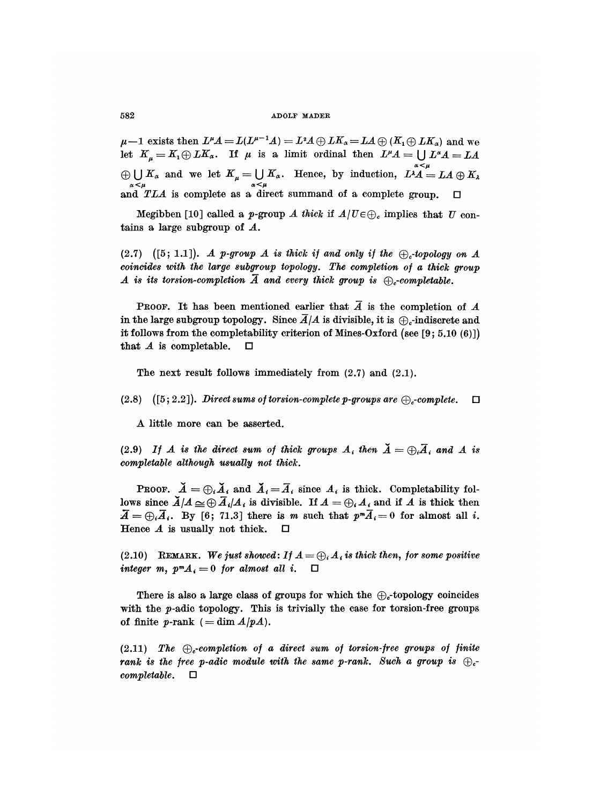$\mu-1$  exists then  $L^{\mu}A = L(L^{\mu-1}A) = L^2A \oplus LK_{\alpha} = LA \oplus (K_1 \oplus LK_{\alpha})$  and we let  $K_{\mu} = K_1 \oplus L K_{\alpha}$ . If  $\mu$  is a limit ordinal then  $L^{\mu}A = \bigcup L^{\alpha}A = LA$  $\bigoplus_{\alpha \leq \mu} K_{\alpha}$  and we let  $K_{\mu} = \bigcup_{\alpha \leq \mu} K_{\alpha}$ . Hence, by induction,  $L^{\lambda}A = LA \oplus K_{\lambda}$ and  $TLA$  is complete as a direct summand of a complete group.  $\square$ 

Megibben [10] called a p-group A thick if  $A/U \in \bigoplus$ , implies that U contains a large subgroup of A.

(2.7) ([5; 1.1]). A p-group A is thick if and only if the  $\bigoplus$ -topology on A coincides with the large subgroup topology. The completion of a thick group A is its torsion-completion  $\overline{A}$  and every thick group is  $\bigoplus_{c}$ -completable.

PROOF. It has been mentioned earlier that  $\overline{A}$  is the completion of  $A$ in the large subgroup topology. Since  $\overline{A}/A$  is divisible, it is  $\bigoplus_{c}$ -indiscrete and it follows from the completability criterion of Mines-Oxford (see [9; 5.10 (6)]) that A is completable.  $\Box$ that  $A$  is completable.

The next result follows immediately from  $(2.7)$  and  $(2.1)$ .

(2.8) ([5; 2.2]). Direct sums of torsion-complete p-groups are  $\bigoplus$ -complete.  $\Box$ 

A little more can be asserted.

(2.9) If A is the direct sum of thick groups  $A_i$  then  $\check{A} = \bigoplus_i \overline{A}_i$  and A is completable although usually not thick.

**PROOF.**  $\breve{A} = \bigoplus_i \breve{A}_i$  and  $\breve{A}_i = \overline{A}_i$  since  $A_i$  is thick. Completability follows since  $\breve{A}/A \simeq \bigoplus \overline{A}_i/A_i$  is divisible. If  $A = \bigoplus_i A_i$  and if A is thick then  $\overline{A} = \bigoplus_i \overline{A}_i$ . By [6; 71.3] there is m such that  $p^m \overline{A}_i = 0$  for almost all i. Hence  $A$  is usually not thick.  $\square$ 

(2.10) REMARK. We just showed: If  $A = \bigoplus_i A_i$  is thick then, for some positive integer m,  $p^m A_i = 0$  for almost all i.  $\Box$ 

There is also a large class of groups for which the  $\bigoplus_{c}$ -topology coincides with the *p*-adic topology. This is trivially the case for torsion-free groups of finite p-rank  $( = \dim A/pA).$ 

(2.11) The  $\bigoplus_{c}$ -completion of a direct sum of torsion-free groups of finite rank is the free p-adic module with the same p-rank. Such a group is  $\bigoplus_{c^-}$  $complete. \Box$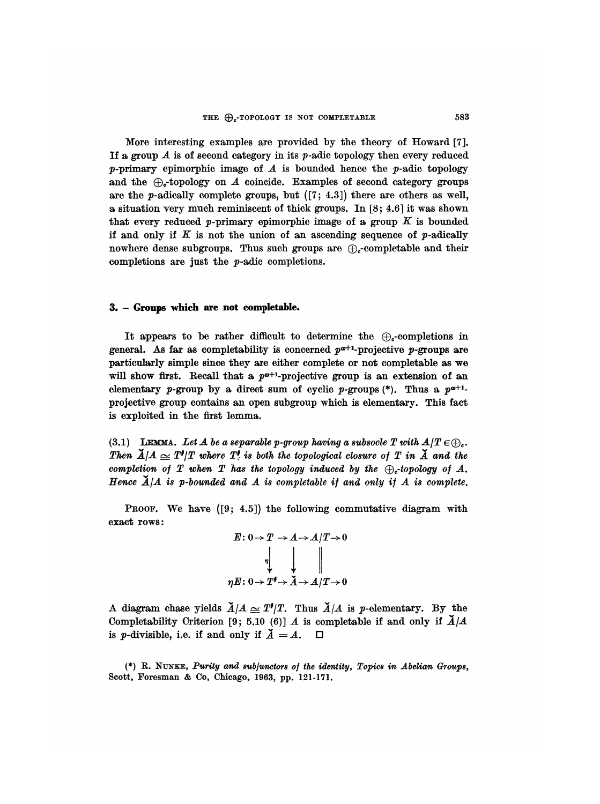More interesting examples are provided by the theory of Howard [7]. If a group  $A$  is of second category in its  $p$ -adic topology then every reduced p-primary epimorphic image of  $A$  is bounded hence the p-adic topology and the  $\bigoplus$ -topology on  $\mathcal A$  coincide. Examples of second category groups are the p-adically complete groups, but  $(7; 4.3)$  there are others as well, a situation very much reminiscent of thick groups. In [8; 4.6] it was shown that every reduced p-primary epimorphic image of a group  $K$  is bounded if and only if  $K$  is not the union of an ascending sequence of  $p$ -adically nowhere dense subgroups. Thus such groups are  $\bigoplus$ -completable and their completions are just the p-adic completions.

## 3. - Groups which are not completable.

It appears to be rather difficult to determine the  $\bigoplus_{c}$ -completions in general. As far as completability is concerned  $p^{\omega+1}$ -projective p-groups are particularly simple since they are either complete or not completable as we will show first. Recall that a  $p^{\omega+1}$ -projective group is an extension of an elementary p-group by a direct sum of cyclic p-groups  $(*)$ . Thus a  $p^{a+1}$ projective group contains an open subgroup which is elementary. This fact is exploited in the first lemma.

(3.1) LEMMA. Let A be a separable p-group having a subsocle T with  $A/T \in \bigoplus$ . Then  $\breve{A}/A \simeq T^{\sharp}/T$  where  $T^{\sharp}$  is both the topological closure of T in  $\breve{A}$  and the completion of T when T has the topology induced by the  $\oplus$ -topology of A. Hence  $\breve{A}/A$  is p-bounded and A is completable if and only if A is complete.

PROOF. We have  $(9; 4.5)$  the following commutative diagram with exact rows:



A diagram chase yields  $\check{A}/A \simeq T^{\prime}/T$ . Thus  $\check{A}/A$  is p-elementary. By the Completability Criterion [9; 5.10 (6)] A is completable if and only if  $\tilde{A}/A$ is *p*-divisible, i.e. if and only if  $\check{A} = A$ .  $\Box$ 

(\*) R. NUNKE, Purity and 8ubjunctors of the identity, Topic8 in Abelian Groups, Scott, Foresman & Co, Chicago, 1963, pp. 121-171.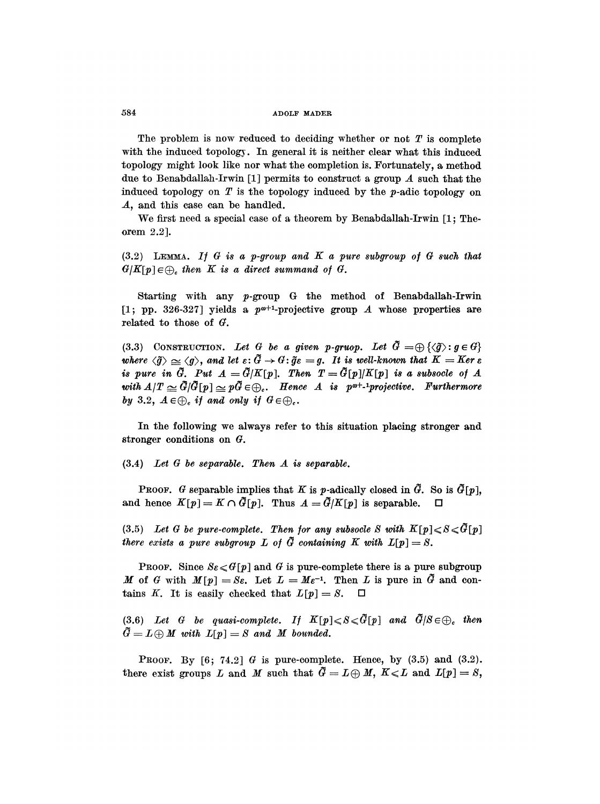The problem is now reduced to deciding whether or not  $T$  is complete with the induced topology. In general it is neither clear what this induced topology might look like nor what the completion is. Fortunately, a method due to Benabdallah-Irwin [1] permits to construct a group  $A$  such that the induced topology on  $T$  is the topology induced by the p-adic topology on A, and this case can be handled.

We first need a special case of a theorem by Benabdallah-Irwin [1; Theorem 2.2].

 $(3.2)$  LEMMA. If G is a p-group and K a pure subgroup of G such that  $G/K[p] \in \bigoplus_{c}$  then K is a direct summand of G.

Starting with any p-group G the method of Benabdallah-Irwin [1; pp. 326-327] yields a  $p^{\omega+1}$ -projective group A whose properties are related to those of  $G$ .

(3.3) CONSTRUCTION. Let G be a given p-gruop. Let  $\tilde{G} = \bigoplus \{\langle \tilde{g} \rangle : g \in G\}$ where  $\langle \tilde{g} \rangle \simeq \langle g \rangle$ , and let  $\varepsilon : \tilde{G} \to G$ :  $\tilde{g}\varepsilon = g$ . It is well-known that  $K = Ker \varepsilon$ is pure in  $\tilde{G}$ . Put  $A = \tilde{G}/K[p]$ . Then  $T = \tilde{G}[p]/K[p]$  is a subsocle of A with  $A/T \simeq \tilde{G}/\tilde{G}[p] \simeq p\tilde{G} \in \bigoplus_{c}$ . Hence A is p<sup>o+</sup>-<sup>1</sup>projective. Furthermore by 3.2,  $A \in \bigoplus_c$  if and only if  $G \in \bigoplus_c$ .

In the following we always refer to this situation placing stronger and stronger conditions on G.

(3.4) Let G be separable. Then A is separable.

**PROOF.** G separable implies that K is p-adically closed in  $\tilde{G}$ . So is  $\tilde{G}[p]$ , and hence  $K[p] = K \cap \tilde{G}[p]$ . Thus  $A = \tilde{G}/K[p]$  is separable.

(3.5) Let G be pure-complete. Then for any subsocle S with  $K[p] \leq S \leq \tilde{G}[p]$ there exists a pure subgroup L of  $\tilde{G}$  containing K with  $L[p] = S$ .

**PROOF.** Since  $S_{\mathcal{E}} \leq G[p]$  and G is pure-complete there is a pure subgroup M of G with  $M[p] = S_{\mathcal{E}}$ . Let  $L = M \varepsilon^{-1}$ . Then L is pure in  $\tilde{G}$  and contains K. It is easily checked that  $L[p] = S$ .  $\Box$ 

(3.6) Let G be quasi-complete. If  $K[p] \leqslant S \leqslant \tilde{G}[p]$  and  $\tilde{G}/S \in \bigoplus_c$  then  $\tilde{G} = L \oplus M$  with  $L[p] = S$  and M bounded.

PROOF. By  $[6; 74.2]$  G is pure-complete. Hence, by  $(3.5)$  and  $(3.2)$ . there exist groups L and M such that  $\tilde{G} = L \oplus M$ ,  $K \le L$  and  $L[p] = S$ ,

584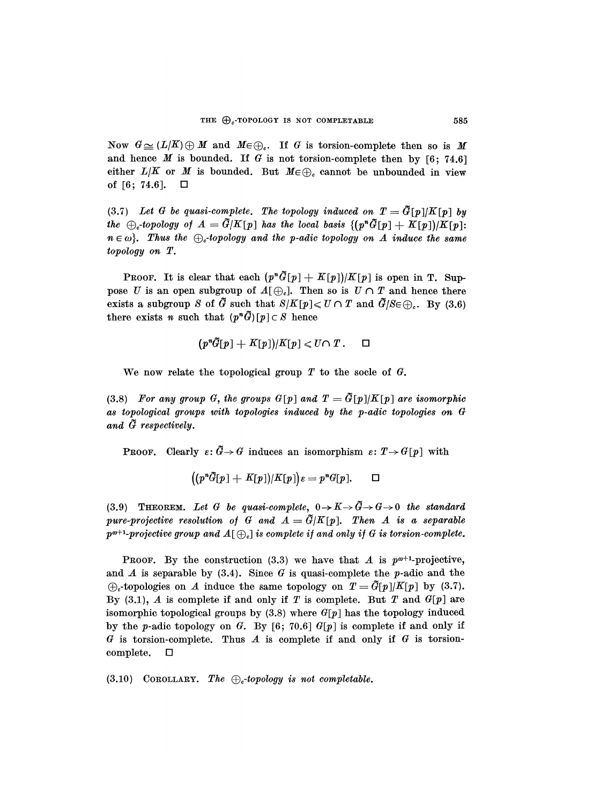Now  $G \cong (L/K) \oplus M$  and  $M \in \bigoplus_i$ . If G is torsion-complete then so is M and hence M is bounded. If G is not torsion-complete then by  $[6; 74.6]$ either  $L/K$  or M is bounded. But  $M \in \bigoplus_c$  cannot be unbounded in view of [6; 74.6].  $\Box$ 

(3.7) Let G be quasi-complete. The topology induced on  $T = \tilde{G}[p]/K[p]$  by the  $\oplus_c$ -topology of  $A = \tilde{G}/K[p]$  has the local basis  $\{(\mathbf{p}^n \tilde{G}[\mathbf{p}] + K[\mathbf{p}])/K[\mathbf{p}]\}$ :  $n \in \omega$ . Thus the  $\bigoplus_{c}$ -topology and the p-adic topology on A induce the same topology on T.

**PROOF.** It is clear that each  $(p^n\tilde{G}[p] + K[p])/K[p]$  is open in T. Suppose U is an open subgroup of  $A[\bigoplus_c]$ . Then so is  $U \cap T$  and hence there exists a subgroup S of  $\tilde{G}$  such that  $S/K[p] \le U \cap T$  and  $\tilde{G}/S \in \bigoplus_{c}$ . By (3.6) there exists *n* such that  $(p^n\tilde{G})[p] \subset S$  hence

$$
(p^n\tilde{G}[p]+K[p])/K[p] \leq U \cap T. \square
$$

We now relate the topological group  $T$  to the socle of  $G$ .

(3.8) For any group G, the groups  $G[p]$  and  $T = \tilde{G}[p]/K[p]$  are isomorphic as topological groups with topologies induced by the p-adic topologies on G and  $\tilde{G}$  respectively.

**PROOF.** Clearly  $\varepsilon: \tilde{G} \to G$  induces an isomorphism  $\varepsilon: T \to G[p]$  with

$$
((p^nG[p]+K[p])/K[p])\varepsilon = p^nG[p]. \square
$$

(3.9) THEOREM. Let G be quasi-complete,  $0 \to K \to \tilde{G} \to G \to 0$  the standard pure-projective resolution of G and  $A = \tilde{G}/K[p]$ . Then A is a separable  $p^{a+1}$ -projective group and  $A[\bigoplus_c]$  is complete if and only if G is torsion-complete.

**PROOF.** By the construction (3.3) we have that A is  $p^{a+1}$ -projective, and  $A$  is separable by (3.4). Since  $G$  is quasi-complete the p-adic and the  $\bigoplus$ -topologies on A induce the same topology on  $T = \tilde{G}[p]/K[p]$  by (3.7). By (3.1), A is complete if and only if T is complete. But T and  $G[p]$  are isomorphic topological groups by  $(3.8)$  where  $G[p]$  has the topology induced by the p-adic topology on G. By  $[6; 70.6]$  G[p] is complete if and only if  $G$  is torsion-complete. Thus  $A$  is complete if and only if  $G$  is torsioncomplete.  $\Box$ 

(3.10) COROLLARY. The  $\bigoplus_c$ -topology is not completable.